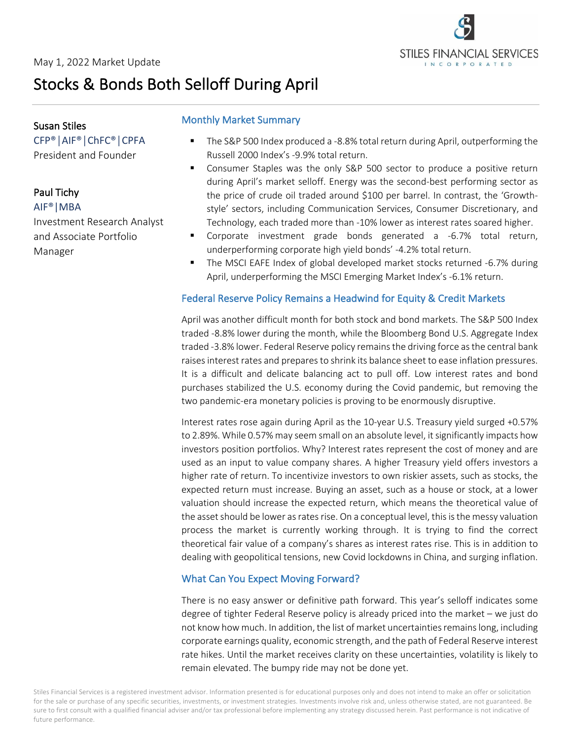

# Stocks & Bonds Both Selloff During April

Susan Stiles CFP®│AIF®│ChFC®│CPFA President and Founder

### Paul Tichy

AIF®|MBA Investment Research Analyst and Associate Portfolio Manager

#### Monthly Market Summary

- The S&P 500 Index produced a -8.8% total return during April, outperforming the Russell 2000 Index's -9.9% total return.
- Consumer Staples was the only S&P 500 sector to produce a positive return during April's market selloff. Energy was the second-best performing sector as the price of crude oil traded around \$100 per barrel. In contrast, the 'Growthstyle' sectors, including Communication Services, Consumer Discretionary, and Technology, each traded more than -10% lower as interest rates soared higher.
- Corporate investment grade bonds generated a -6.7% total return, underperforming corporate high yield bonds' -4.2% total return.
- The MSCI EAFE Index of global developed market stocks returned -6.7% during April, underperforming the MSCI Emerging Market Index's -6.1% return.

#### Federal Reserve Policy Remains a Headwind for Equity & Credit Markets

April was another difficult month for both stock and bond markets. The S&P 500 Index traded -8.8% lower during the month, while the Bloomberg Bond U.S. Aggregate Index traded -3.8% lower. Federal Reserve policy remains the driving force as the central bank raises interest rates and prepares to shrink its balance sheet to ease inflation pressures. It is a difficult and delicate balancing act to pull off. Low interest rates and bond purchases stabilized the U.S. economy during the Covid pandemic, but removing the two pandemic-era monetary policies is proving to be enormously disruptive.

Interest rates rose again during April as the 10-year U.S. Treasury yield surged +0.57% to 2.89%. While 0.57% may seem small on an absolute level, it significantly impacts how investors position portfolios. Why? Interest rates represent the cost of money and are used as an input to value company shares. A higher Treasury yield offers investors a higher rate of return. To incentivize investors to own riskier assets, such as stocks, the expected return must increase. Buying an asset, such as a house or stock, at a lower valuation should increase the expected return, which means the theoretical value of the asset should be lower as rates rise. On a conceptual level, this is the messy valuation process the market is currently working through. It is trying to find the correct theoretical fair value of a company's shares as interest rates rise. This is in addition to dealing with geopolitical tensions, new Covid lockdowns in China, and surging inflation.

#### What Can You Expect Moving Forward?

There is no easy answer or definitive path forward. This year's selloff indicates some degree of tighter Federal Reserve policy is already priced into the market – we just do not know how much. In addition, the list of market uncertainties remains long, including corporate earnings quality, economic strength, and the path of Federal Reserve interest rate hikes. Until the market receives clarity on these uncertainties, volatility is likely to remain elevated. The bumpy ride may not be done yet.

Stiles Financial Services is a registered investment advisor. Information presented is for educational purposes only and does not intend to make an offer or solicitation for the sale or purchase of any specific securities, investments, or investment strategies. Investments involve risk and, unless otherwise stated, are not guaranteed. Be sure to first consult with a qualified financial adviser and/or tax professional before implementing any strategy discussed herein. Past performance is not indicative of future performance.